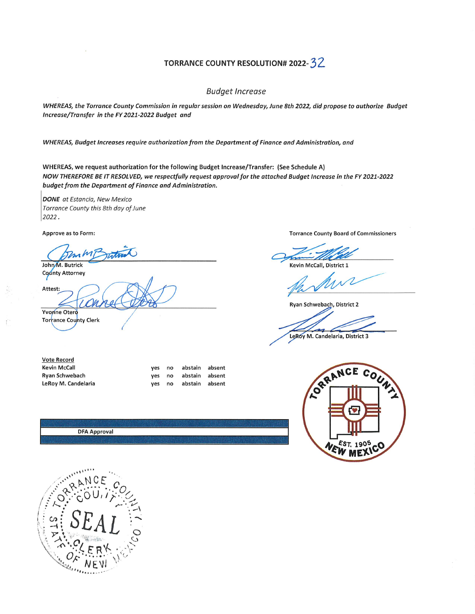## TORRANCE COUNTY RESOLUTION# 2022-32

## Budget Increase

WHEREAS,the Torrance County Commission in regular session on Wednesday, June 8th 2022, did propose to authorize Budget Increase/Transfer in the FY2021-2022 Budget and

WHEREAS, Budget Increases require authorization from the Department of Finance and Administration, and

WHEREAS, we request authorization for the following Budget Increase/Transfer: (See Schedule A) NOW THEREFORE BE IT RESOLVED, we respectfully request approval for the attached Budget Increase in the FY 2021-2022 budget from the Department of Finance and Administration.

DONE at Estancia, New Mexico Torrance County this 8th day of June 2022.

Approve as to Form:

John M. Butrick County Attorney

Attest:

Yvonne Otero Torrance County Clerk

| Vote Record         |     |                   |  |
|---------------------|-----|-------------------|--|
| Kevin McCall        | ves | no abstain absent |  |
| Ryan Schwebach      | ves | no abstain absent |  |
| LeRoy M. Candelaria | ves | no abstain absent |  |

**DFA Approval** 



Kevin McCall. District 1

Ryan Schwebach, District 2

LeRoy M. Candelaria, District 3